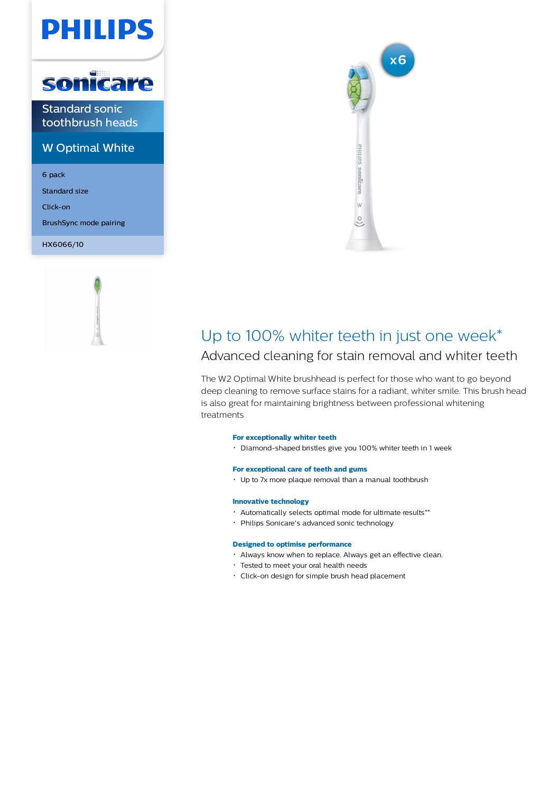# PHILIPS



Standard sonic toothbrush heads

### W Optimal White

6 pack

Standard size

Click-on

BrushSync mode pairing

HX6066/10





## Up to 100% whiter teeth in just one week\*

### Advanced cleaning for stain removal and whiter teeth

The W2 Optimal White brushhead is perfect for those who want to go beyond deep cleaning to remove surface stains for a radiant, whiter smile. This brush head is also great for maintaining brightness between professional whitening treatments

#### **For exceptionally whiter teeth**

Diamond-shaped bristles give you 100% whiter teeth in 1 week

#### **For exceptional care of teeth and gums**

Up to 7x more plaque removal than a manual toothbrush

#### **Innovative technology**

- Automatically selects optimal mode for ultimate results\*\*
- Philips Sonicare's advanced sonic technology

#### **Designed to optimise performance**

- Always know when to replace. Always get an effective clean.
- Tested to meet your oral health needs
- Click-on design for simple brush head placement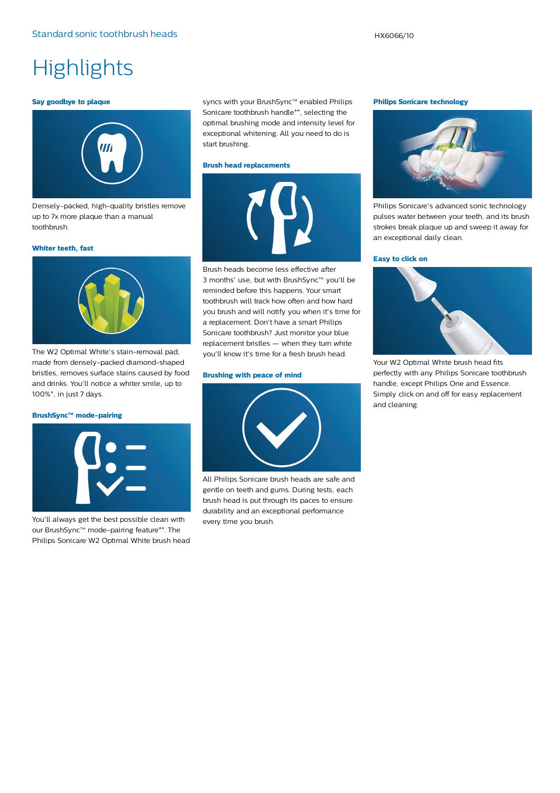## **Highlights**

#### **Say goodbye to plaque**



Densely-packed, high-quality bristles remove up to 7x more plaque than a manual toothbrush.

#### **Whiter teeth, fast**



The W2 Optimal White's stain-removal pad, made from densely-packed diamond-shaped bristles, removes surface stains caused by food and drinks. You'll notice a whiter smile, up to 100%\*, in just 7 days.

#### **BrushSync™ mode-pairing**



You'll always get the best possible clean with our BrushSync™ mode-pairing feature\*\*. The Philips Sonicare W2 Optimal White brush head syncs with your BrushSync™ enabled Philips Sonicare toothbrush handle\*\*, selecting the optimal brushing mode and intensity level for exceptional whitening. All you need to do is start brushing.

#### **Brush head replacements**



Brush heads become less effective after 3 months' use, but with BrushSync™ you'll be reminded before this happens. Your smart toothbrush will track how often and how hard you brush and will notify you when it's time for a replacement. Don't have a smart Philips Sonicare toothbrush? Just monitor your blue replacement bristles — when they turn white you'll know it's time for a fresh brush head.

#### **Brushing with peace of mind**



All Philips Sonicare brush heads are safe and gentle on teeth and gums. During tests, each brush head is put through its paces to ensure durability and an exceptional performance every time you brush.

#### **Philips Sonicare technology**



Philips Sonicare's advanced sonic technology pulses water between your teeth, and its brush strokes break plaque up and sweep it away for an exceptional daily clean.

#### **Easy to click on**



Your W2 Optimal White brush head fits perfectly with any Philips Sonicare toothbrush handle, except Philips One and Essence. Simply click on and off for easy replacement and cleaning.